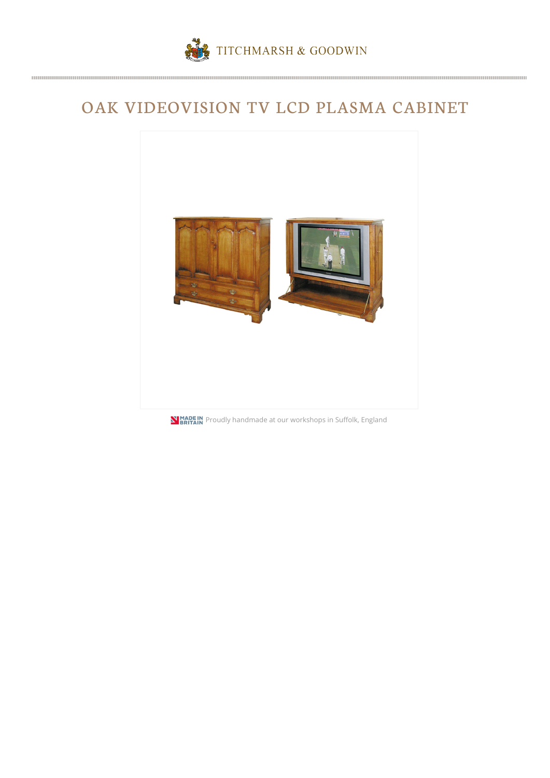## OAK VIDEOVISION TV LCD PLASMA CABINET



**NIMADE IN**<br>**PRITAIN** Proudly handmade at our workshops in Suffolk, England